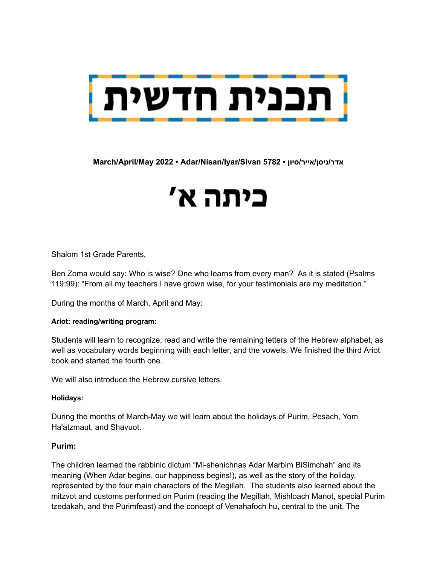

**March/April/May 2022 • Adar/Nisan/Iyar/Sivan 5782 • סיון/אייר/ניסן/אדר**

# כיתה א'

Shalom 1st Grade Parents,

Ben Zoma would say: Who is wise? One who learns from every man? As it is stated (Psalms 119:99): "From all my teachers I have grown wise, for your testimonials are my meditation."

During the months of March, April and May:

#### **Ariot: reading/writing program:**

Students will learn to recognize, read and write the remaining letters of the Hebrew alphabet, as well as vocabulary words beginning with each letter, and the vowels. We finished the third Ariot book and started the fourth one.

We will also introduce the Hebrew cursive letters.

#### **Holidays:**

During the months of March-May we will learn about the holidays of Purim, Pesach, Yom Ha'atzmaut, and Shavuot.

#### **Purim:**

The children learned the rabbinic dictum "Mi-shenichnas Adar Marbim BiSimchah" and its meaning (When Adar begins, our happiness begins!), as well as the story of the holiday, represented by the four main characters of the Megillah. The students also learned about the mitzvot and customs performed on Purim (reading the Megillah, Mishloach Manot, special Purim tzedakah, and the Purimfeast) and the concept of Venahafoch hu, central to the unit. The